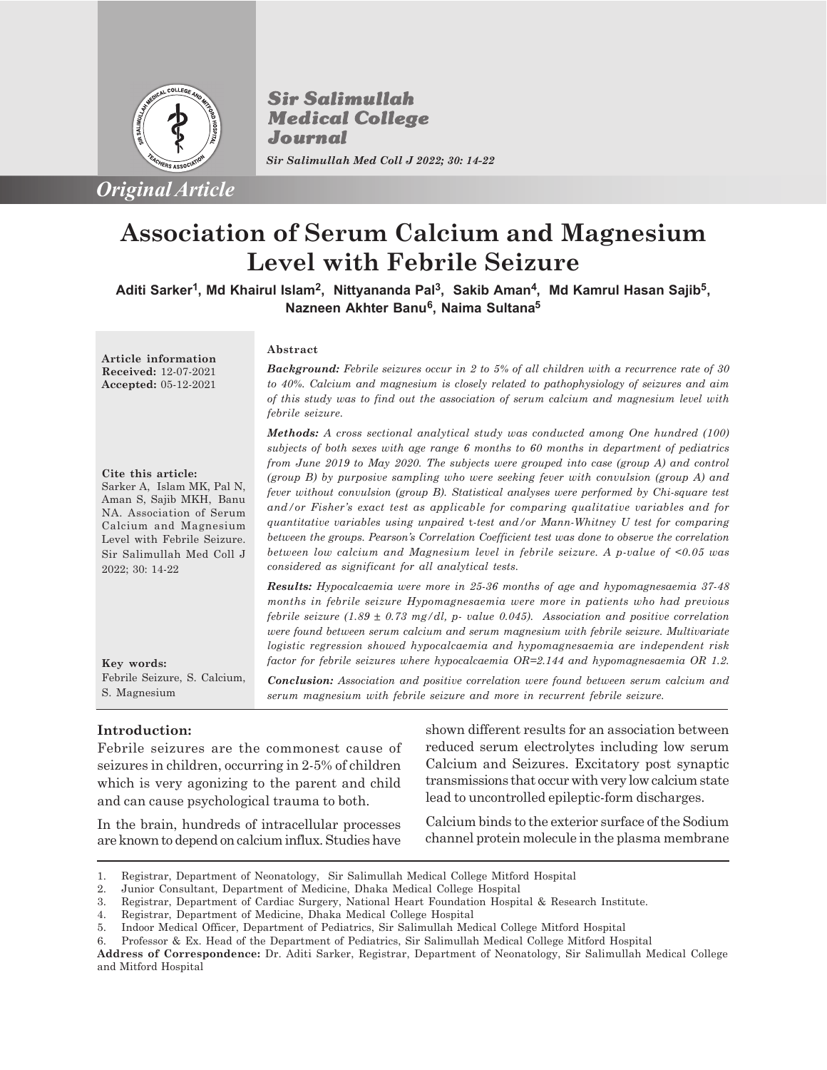

*Original Article*

**Sir Salimullah Medical College** Journal *Sir Salimullah Med Coll J 2022; 30: 14-22*

# **Association of Serum Calcium and Magnesium Level with Febrile Seizure**

**Aditi Sarker<sup>1</sup> , Md Khairul Islam<sup>2</sup> , Nittyananda Pal<sup>3</sup> , Sakib Aman<sup>4</sup> , Md Kamrul Hasan Sajib<sup>5</sup> , Nazneen Akhter Banu<sup>6</sup> , Naima Sultana<sup>5</sup>**

**Article information Received:** 12-07-2021 **Accepted:** 05-12-2021

**Cite this article:**

Sarker A, Islam MK, Pal N, Aman S, Sajib MKH, Banu NA. Association of Serum Calcium and Magnesium Level with Febrile Seizure. Sir Salimullah Med Coll J

#### **Abstract**

*Background: Febrile seizures occur in 2 to 5% of all children with a recurrence rate of 30 to 40%. Calcium and magnesium is closely related to pathophysiology of seizures and aim of this study was to find out the association of serum calcium and magnesium level with febrile seizure.*

*Methods: A cross sectional analytical study was conducted among One hundred (100) subjects of both sexes with age range 6 months to 60 months in department of pediatrics from June 2019 to May 2020. The subjects were grouped into case (group A) and control (group B) by purposive sampling who were seeking fever with convulsion (group A) and fever without convulsion (group B). Statistical analyses were performed by Chi-square test and/or Fisher's exact test as applicable for comparing qualitative variables and for quantitative variables using unpaired* t*-test and/or Mann-Whitney U test for comparing between the groups. Pearson's Correlation Coefficient test was done to observe the correlation between low calcium and Magnesium level in febrile seizure. A p-value of <0.05 was considered as significant for all analytical tests.*

*Results: Hypocalcaemia were more in 25-36 months of age and hypomagnesaemia 37-48 months in febrile seizure Hypomagnesaemia were more in patients who had previous febrile seizure (1.89 ± 0.73 mg/dl, p- value 0.045). Association and positive correlation were found between serum calcium and serum magnesium with febrile seizure. Multivariate logistic regression showed hypocalcaemia and hypomagnesaemia are independent risk factor for febrile seizures where hypocalcaemia OR=2.144 and hypomagnesaemia OR 1.2.*

*Conclusion: Association and positive correlation were found between serum calcium and serum magnesium with febrile seizure and more in recurrent febrile seizure.*

# **Introduction:**

Febrile Seizure, S. Calcium,

**Key words:**

2022; 30: 14-22

S. Magnesium

Febrile seizures are the commonest cause of seizures in children, occurring in 2-5% of children which is very agonizing to the parent and child and can cause psychological trauma to both.

In the brain, hundreds of intracellular processes are known to depend on calcium influx. Studies have shown different results for an association between reduced serum electrolytes including low serum Calcium and Seizures. Excitatory post synaptic transmissions that occur with very low calcium state lead to uncontrolled epileptic-form discharges.

Calcium binds to the exterior surface of the Sodium channel protein molecule in the plasma membrane

5. Indoor Medical Officer, Department of Pediatrics, Sir Salimullah Medical College Mitford Hospital

<sup>1.</sup> Registrar, Department of Neonatology, Sir Salimullah Medical College Mitford Hospital

<sup>2.</sup> Junior Consultant, Department of Medicine, Dhaka Medical College Hospital

<sup>3.</sup> Registrar, Department of Cardiac Surgery, National Heart Foundation Hospital & Research Institute.

<sup>4.</sup> Registrar, Department of Medicine, Dhaka Medical College Hospital

<sup>6.</sup> Professor & Ex. Head of the Department of Pediatrics, Sir Salimullah Medical College Mitford Hospital

**Address of Correspondence:** Dr. Aditi Sarker, Registrar, Department of Neonatology, Sir Salimullah Medical College and Mitford Hospital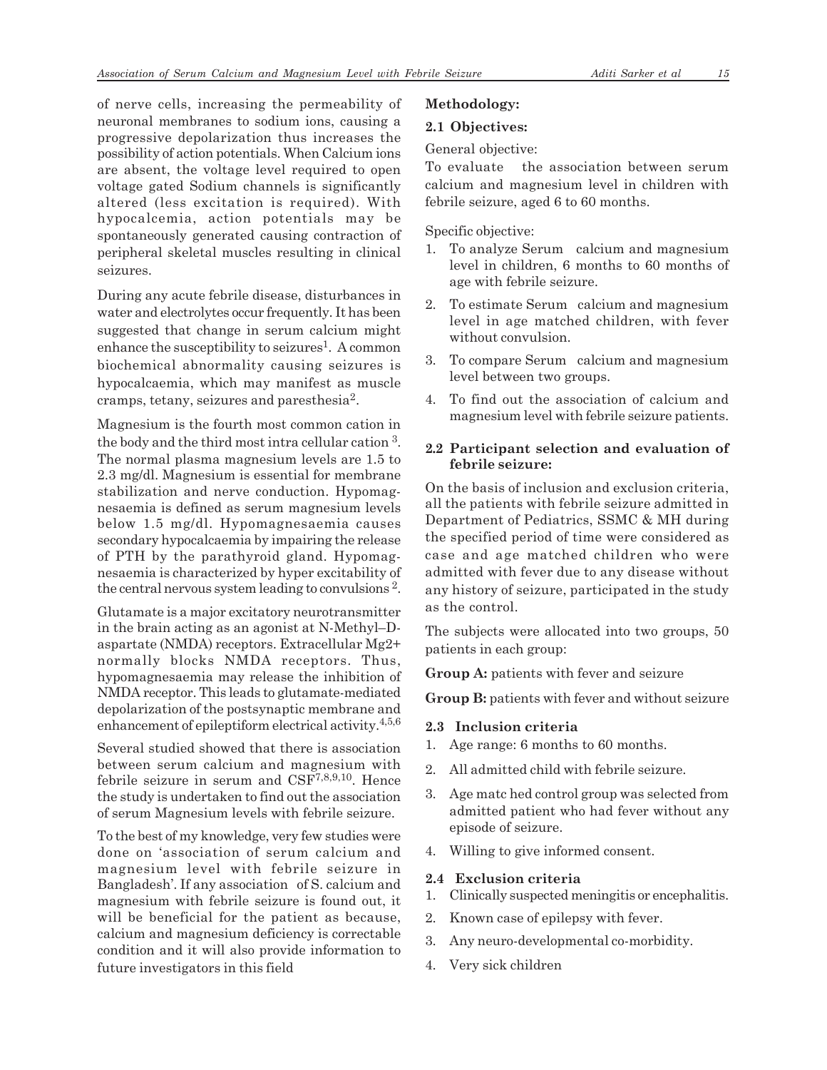of nerve cells, increasing the permeability of neuronal membranes to sodium ions, causing a progressive depolarization thus increases the possibility of action potentials. When Calcium ions are absent, the voltage level required to open voltage gated Sodium channels is significantly altered (less excitation is required). With hypocalcemia, action potentials may be spontaneously generated causing contraction of peripheral skeletal muscles resulting in clinical seizures.

During any acute febrile disease, disturbances in water and electrolytes occur frequently. It has been suggested that change in serum calcium might enhance the susceptibility to seizures<sup>1</sup>. A common biochemical abnormality causing seizures is hypocalcaemia, which may manifest as muscle cramps, tetany, seizures and paresthesia<sup>2</sup>.

Magnesium is the fourth most common cation in the body and the third most intra cellular cation<sup>3</sup>. The normal plasma magnesium levels are 1.5 to 2.3 mg/dl. Magnesium is essential for membrane stabilization and nerve conduction. Hypomagnesaemia is defined as serum magnesium levels below 1.5 mg/dl. Hypomagnesaemia causes secondary hypocalcaemia by impairing the release of PTH by the parathyroid gland. Hypomagnesaemia is characterized by hyper excitability of the central nervous system leading to convulsions<sup>2</sup>.

Glutamate is a major excitatory neurotransmitter in the brain acting as an agonist at N-Methyl–Daspartate (NMDA) receptors. Extracellular Mg2+ normally blocks NMDA receptors. Thus, hypomagnesaemia may release the inhibition of NMDA receptor. This leads to glutamate-mediated depolarization of the postsynaptic membrane and enhancement of epileptiform electrical activity.<sup>4,5,6</sup>

Several studied showed that there is association between serum calcium and magnesium with febrile seizure in serum and CSF7,8,9,10. Hence the study is undertaken to find out the association of serum Magnesium levels with febrile seizure.

To the best of my knowledge, very few studies were done on 'association of serum calcium and magnesium level with febrile seizure in Bangladesh'. If any association of S. calcium and magnesium with febrile seizure is found out, it will be beneficial for the patient as because, calcium and magnesium deficiency is correctable condition and it will also provide information to future investigators in this field

# **Methodology:**

# **2.1 Objectives:**

# General objective:

To evaluate the association between serum calcium and magnesium level in children with febrile seizure, aged 6 to 60 months.

Specific objective:

- 1. To analyze Serum calcium and magnesium level in children, 6 months to 60 months of age with febrile seizure.
- 2. To estimate Serum calcium and magnesium level in age matched children, with fever without convulsion.
- 3. To compare Serum calcium and magnesium level between two groups.
- 4. To find out the association of calcium and magnesium level with febrile seizure patients.

# **2.2 Participant selection and evaluation of febrile seizure:**

On the basis of inclusion and exclusion criteria, all the patients with febrile seizure admitted in Department of Pediatrics, SSMC & MH during the specified period of time were considered as case and age matched children who were admitted with fever due to any disease without any history of seizure, participated in the study as the control.

The subjects were allocated into two groups, 50 patients in each group:

**Group A:** patients with fever and seizure

**Group B:** patients with fever and without seizure

# **2.3 Inclusion criteria**

- 1. Age range: 6 months to 60 months.
- 2. All admitted child with febrile seizure.
- 3. Age matc hed control group was selected from admitted patient who had fever without any episode of seizure.
- 4. Willing to give informed consent.

# **2.4 Exclusion criteria**

- 1. Clinically suspected meningitis or encephalitis.
- 2. Known case of epilepsy with fever.
- 3. Any neuro-developmental co-morbidity.
- 4. Very sick children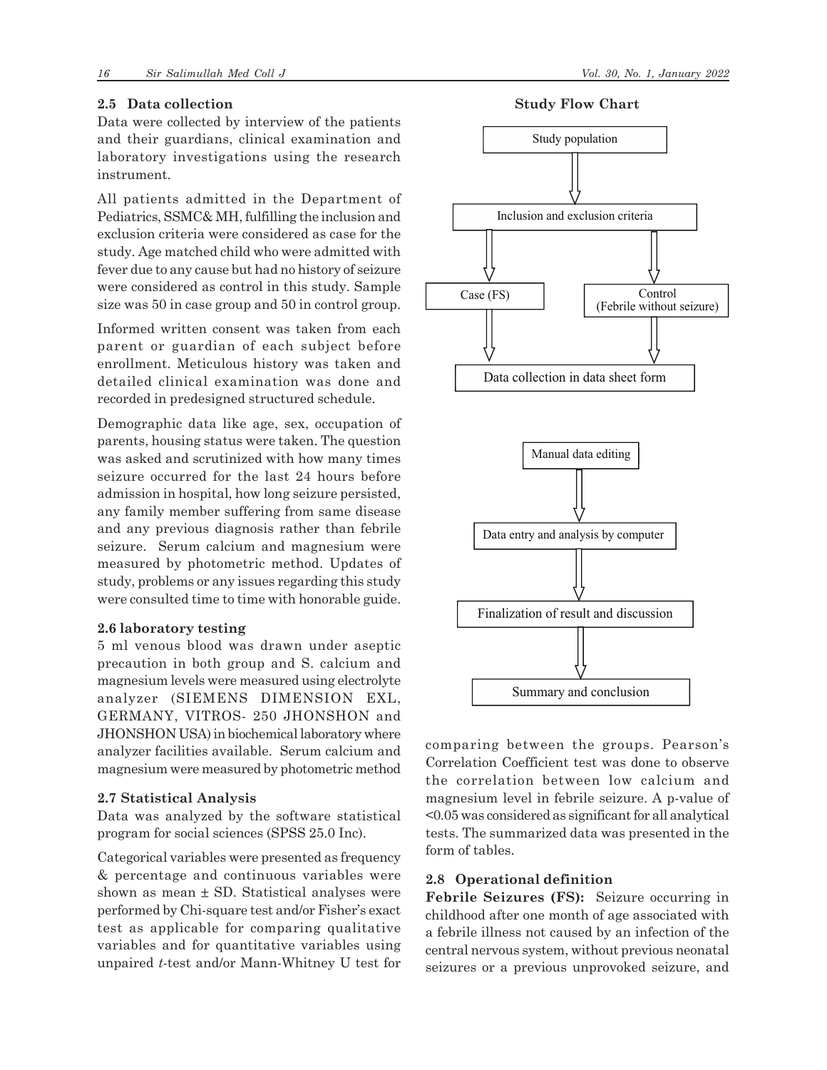#### **2.5 Data collection**

Data were collected by interview of the patients and their guardians, clinical examination and laboratory investigations using the research instrument.

All patients admitted in the Department of Pediatrics, SSMC& MH, fulfilling the inclusion and exclusion criteria were considered as case for the study. Age matched child who were admitted with fever due to any cause but had no history of seizure were considered as control in this study. Sample size was 50 in case group and 50 in control group.

Informed written consent was taken from each parent or guardian of each subject before enrollment. Meticulous history was taken and detailed clinical examination was done and recorded in predesigned structured schedule.

Demographic data like age, sex, occupation of parents, housing status were taken. The question was asked and scrutinized with how many times seizure occurred for the last 24 hours before admission in hospital, how long seizure persisted, any family member suffering from same disease and any previous diagnosis rather than febrile seizure. Serum calcium and magnesium were measured by photometric method. Updates of study, problems or any issues regarding this study were consulted time to time with honorable guide.

#### **2.6 laboratory testing**

5 ml venous blood was drawn under aseptic precaution in both group and S. calcium and magnesium levels were measured using electrolyte analyzer (SIEMENS DIMENSION EXL, GERMANY, VITROS- 250 JHONSHON and JHONSHON USA) in biochemical laboratory where analyzer facilities available. Serum calcium and magnesium were measured by photometric method

#### **2.7 Statistical Analysis**

Data was analyzed by the software statistical program for social sciences (SPSS 25.0 Inc).

Categorical variables were presented as frequency & percentage and continuous variables were shown as mean ± SD. Statistical analyses were performed by Chi-square test and/or Fisher's exact test as applicable for comparing qualitative variables and for quantitative variables using unpaired *t*-test and/or Mann-Whitney U test for

**Study Flow Chart**





comparing between the groups. Pearson's Correlation Coefficient test was done to observe the correlation between low calcium and magnesium level in febrile seizure. A p-value of <0.05 was considered as significant for all analytical tests. The summarized data was presented in the form of tables.

#### **2.8 Operational definition**

**Febrile Seizures (FS):** Seizure occurring in childhood after one month of age associated with a febrile illness not caused by an infection of the central nervous system, without previous neonatal seizures or a previous unprovoked seizure, and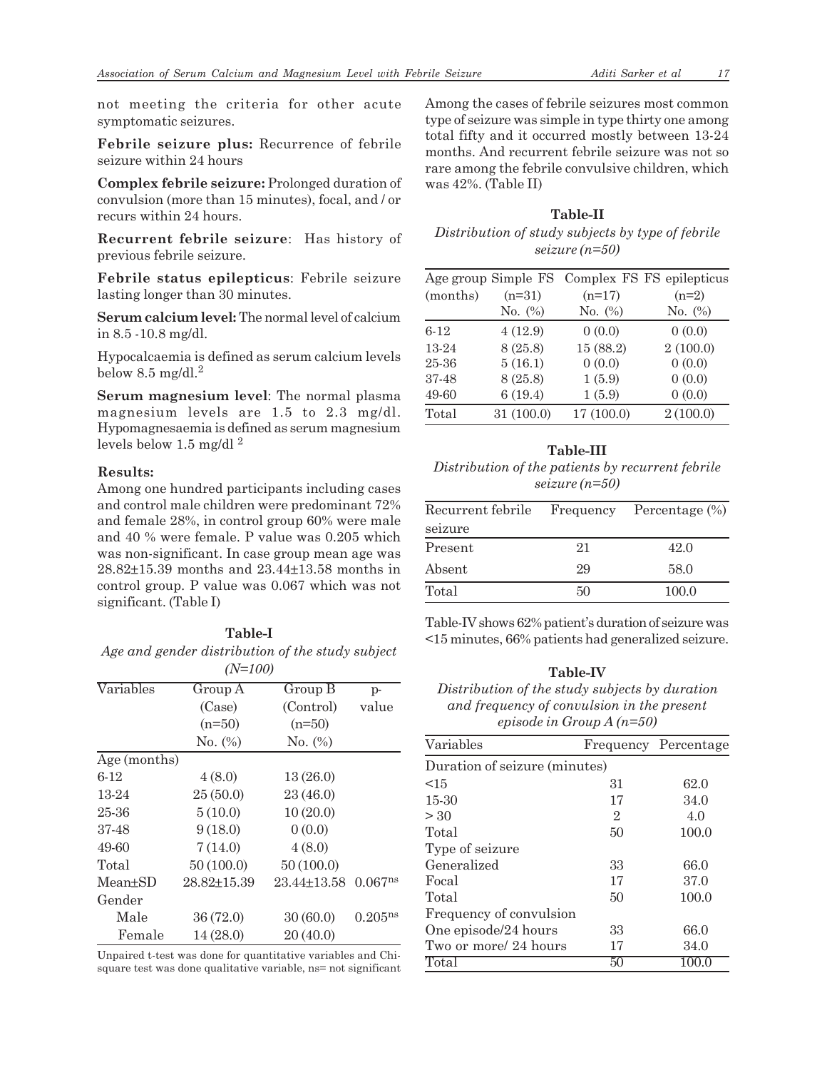not meeting the criteria for other acute symptomatic seizures.

**Febrile seizure plus:** Recurrence of febrile seizure within 24 hours

**Complex febrile seizure:** Prolonged duration of convulsion (more than 15 minutes), focal, and / or recurs within 24 hours.

**Recurrent febrile seizure**: Has history of previous febrile seizure.

**Febrile status epilepticus**: Febrile seizure lasting longer than 30 minutes.

**Serum calcium level:** The normal level of calcium in 8.5 -10.8 mg/dl.

Hypocalcaemia is defined as serum calcium levels below  $8.5 \text{ mg/dl}$ .<sup>2</sup>

**Serum magnesium level**: The normal plasma magnesium levels are 1.5 to 2.3 mg/dl. Hypomagnesaemia is defined as serum magnesium levels below 1.5 mg/dl $^2$ 

#### **Results:**

Among one hundred participants including cases and control male children were predominant 72% and female 28%, in control group 60% were male and 40 % were female. P value was 0.205 which was non-significant. In case group mean age was 28.82±15.39 months and 23.44±13.58 months in control group. P value was 0.067 which was not significant. (Table I)

#### **Table-I** *Age and gender distribution of the study subject (N=100)*

|              | 11112007    |             |                     |
|--------------|-------------|-------------|---------------------|
| Variables    | Group A     | Group B     | $p-$                |
|              | (Case)      | (Control)   | value               |
|              | $(n=50)$    | $(n=50)$    |                     |
|              | No. (%)     | No. (%)     |                     |
| Age (months) |             |             |                     |
| $6-12$       | 4(8.0)      | 13(26.0)    |                     |
| 13-24        | 25(50.0)    | 23(46.0)    |                     |
| 25-36        | 5(10.0)     | 10(20.0)    |                     |
| 37-48        | 9(18.0)     | 0(0.0)      |                     |
| 49-60        | 7(14.0)     | 4(8.0)      |                     |
| Total        | 50(100.0)   | 50(100.0)   |                     |
| Mean+SD      | 28.82+15.39 | 23.44+13.58 | 0.067 <sup>ns</sup> |
| Gender       |             |             |                     |
| Male         | 36 (72.0)   | 30(60.0)    | 0.205 <sup>ns</sup> |
| Female       | 14 (28.0)   | 20(40.0)    |                     |

Unpaired t-test was done for quantitative variables and Chisquare test was done qualitative variable, ns= not significant Among the cases of febrile seizures most common type of seizure was simple in type thirty one among total fifty and it occurred mostly between 13-24 months. And recurrent febrile seizure was not so rare among the febrile convulsive children, which was 42%. (Table II)

# **Table-II** *Distribution of study subjects by type of febrile seizure (n=50)*

|          | Age group Simple FS |            | Complex FS FS epilepticus |
|----------|---------------------|------------|---------------------------|
| (months) | $(n=31)$            | $(n=17)$   | $(n=2)$                   |
|          | No. $(\%)$          | No. $(\%)$ | No. (%)                   |
| $6 - 12$ | 4(12.9)             | 0(0.0)     | 0(0.0)                    |
| 13-24    | 8 (25.8)            | 15 (88.2)  | 2(100.0)                  |
| 25-36    | 5(16.1)             | 0(0.0)     | 0(0.0)                    |
| 37-48    | 8(25.8)             | 1(5.9)     | 0(0.0)                    |
| 49-60    | 6(19.4)             | 1(5.9)     | 0(0.0)                    |
| Total    | 31 (100.0)          | 17(100.0)  | 2(100.0)                  |

# **Table-III**

*Distribution of the patients by recurrent febrile seizure (n=50)*

| Recurrent febrile |    | Frequency Percentage $(\%)$ |  |
|-------------------|----|-----------------------------|--|
| seizure           |    |                             |  |
| Present           | 21 | 42.0                        |  |
| Absent            | 29 | 58.0                        |  |
| Total             | 50 | 100.0                       |  |

Table-IV shows 62% patient's duration of seizure was <15 minutes, 66% patients had generalized seizure.

#### **Table-IV**

*Distribution of the study subjects by duration and frequency of convulsion in the present episode in Group A (n=50)*

| Variables                     |              | Frequency Percentage |  |  |  |
|-------------------------------|--------------|----------------------|--|--|--|
| Duration of seizure (minutes) |              |                      |  |  |  |
| <15                           | 31           | 62.0                 |  |  |  |
| 15-30                         | 17           | 34.0                 |  |  |  |
| > 30                          | $\mathbf{2}$ | 4.0                  |  |  |  |
| Total                         | 50           | 100.0                |  |  |  |
| Type of seizure               |              |                      |  |  |  |
| Generalized                   | 33           | 66.0                 |  |  |  |
| Focal                         | 17           | 37.0                 |  |  |  |
| Total                         | 50           | 100.0                |  |  |  |
| Frequency of convulsion       |              |                      |  |  |  |
| One episode/24 hours          | 33           | 66.0                 |  |  |  |
| Two or more/ 24 hours         | 17           | 34.0                 |  |  |  |
| Total                         | 50           | 100.0                |  |  |  |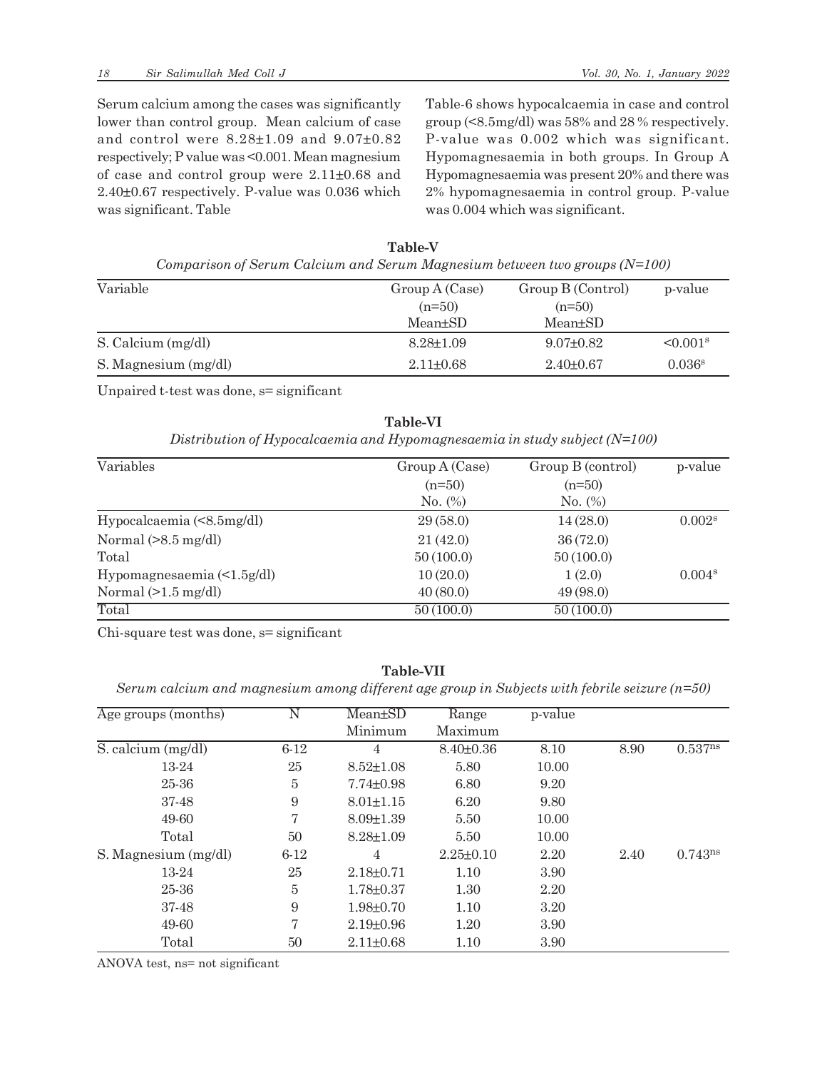Serum calcium among the cases was significantly lower than control group. Mean calcium of case and control were 8.28±1.09 and 9.07±0.82 respectively; P value was <0.001. Mean magnesium of case and control group were 2.11±0.68 and 2.40±0.67 respectively. P-value was 0.036 which was significant. Table

Table-6 shows hypocalcaemia in case and control group (<8.5mg/dl) was 58% and 28 % respectively. P-value was 0.002 which was significant. Hypomagnesaemia in both groups. In Group A Hypomagnesaemia was present 20% and there was 2% hypomagnesaemia in control group. P-value was 0.004 which was significant.

| Comparison of Serum Calcium and Serum Magnesium between two groups $(N=100)$ |                 |                   |                           |  |
|------------------------------------------------------------------------------|-----------------|-------------------|---------------------------|--|
| Variable                                                                     | Group A (Case)  | Group B (Control) | p-value                   |  |
|                                                                              | $(n=50)$        | $(n=50)$          |                           |  |
|                                                                              | $Mean \pm SD$   | $Mean \pm SD$     |                           |  |
| S. Calcium (mg/dl)                                                           | $8.28 \pm 1.09$ | $9.07 \pm 0.82$   | $\leq 0.001$ <sup>s</sup> |  |
| S. Magnesium (mg/dl)                                                         | $2.11 \pm 0.68$ | $2.40 \pm 0.67$   | 0.036 <sup>s</sup>        |  |

**Table-V** *Comparison of Serum Calcium and Serum Magnesium between two groups (N=100)*

Unpaired t-test was done, s= significant

**Table-VI** *Distribution of Hypocalcaemia and Hypomagnesaemia in study subject (N=100)*

| Variables                        | Group A (Case) | Group B (control) | p-value            |
|----------------------------------|----------------|-------------------|--------------------|
|                                  | $(n=50)$       | $(n=50)$          |                    |
|                                  | No. $(\%)$     | No. $(\%)$        |                    |
| Hypocalcaemia (<8.5mg/dl)        | 29(58.0)       | 14(28.0)          | 0.002 <sup>s</sup> |
| Normal $(>8.5 \text{ mg/dl})$    | 21(42.0)       | 36(72.0)          |                    |
| Total                            | 50(100.0)      | 50(100.0)         |                    |
| Hypomagnesaemia $(\leq 1.5g/dl)$ | 10(20.0)       | 1(2.0)            | 0.004 <sup>s</sup> |
| Normal $(>1.5 \text{ mg/dl})$    | 40(80.0)       | 49(98.0)          |                    |
| Total                            | 50(100.0)      | 50(100.0)         |                    |

Chi-square test was done, s= significant

## **Table-VII**

*Serum calcium and magnesium among different age group in Subjects with febrile seizure (n=50)*

| Age groups (months)  | Ν        | Mean±SD         | Range           | p-value |      |                     |
|----------------------|----------|-----------------|-----------------|---------|------|---------------------|
|                      |          | Minimum         | Maximum         |         |      |                     |
| S. calcium (mg/dl)   | $6 - 12$ | 4               | $8.40 \pm 0.36$ | 8.10    | 8.90 | 0.537 <sup>ns</sup> |
| 13-24                | 25       | $8.52 \pm 1.08$ | 5.80            | 10.00   |      |                     |
| 25-36                | 5        | $7.74 \pm 0.98$ | 6.80            | 9.20    |      |                     |
| 37-48                | 9        | $8.01 \pm 1.15$ | 6.20            | 9.80    |      |                     |
| 49-60                | 7        | $8.09 \pm 1.39$ | 5.50            | 10.00   |      |                     |
| Total                | 50       | $8.28 \pm 1.09$ | 5.50            | 10.00   |      |                     |
| S. Magnesium (mg/dl) | $6 - 12$ | 4               | $2.25 \pm 0.10$ | 2.20    | 2.40 | $0.743^{ns}$        |
| 13-24                | 25       | $2.18 \pm 0.71$ | 1.10            | 3.90    |      |                     |
| 25-36                | 5        | $1.78 \pm 0.37$ | 1.30            | 2.20    |      |                     |
| 37-48                | 9        | $1.98 \pm 0.70$ | 1.10            | 3.20    |      |                     |
| 49-60                | 7        | $2.19 \pm 0.96$ | 1.20            | 3.90    |      |                     |
| Total                | 50       | $2.11 \pm 0.68$ | 1.10            | 3.90    |      |                     |

ANOVA test, ns= not significant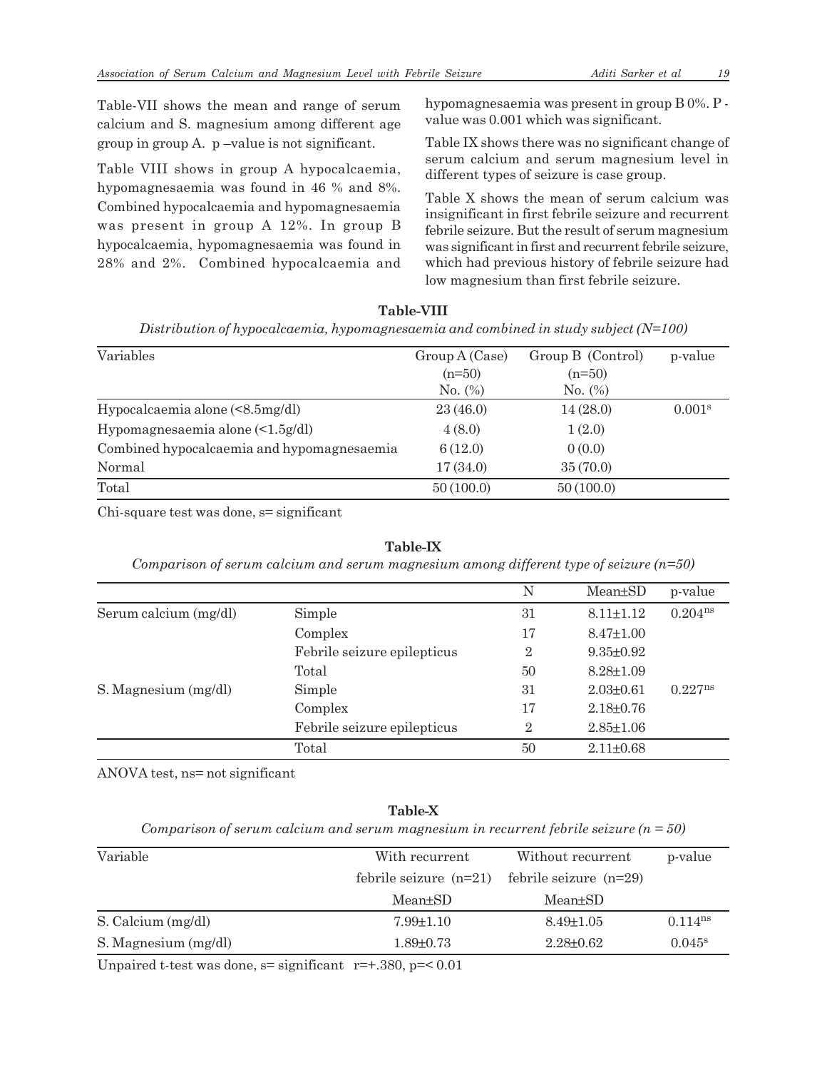Table-VII shows the mean and range of serum calcium and S. magnesium among different age group in group A. p –value is not significant.

Table VIII shows in group A hypocalcaemia, hypomagnesaemia was found in 46 % and 8%. Combined hypocalcaemia and hypomagnesaemia was present in group A 12%. In group B hypocalcaemia, hypomagnesaemia was found in 28% and 2%. Combined hypocalcaemia and hypomagnesaemia was present in group B 0%. P value was 0.001 which was significant.

Table IX shows there was no significant change of serum calcium and serum magnesium level in different types of seizure is case group.

Table X shows the mean of serum calcium was insignificant in first febrile seizure and recurrent febrile seizure. But the result of serum magnesium was significant in first and recurrent febrile seizure, which had previous history of febrile seizure had low magnesium than first febrile seizure.

| Variables                                     | Group A (Case) | Group B (Control) | p-value            |
|-----------------------------------------------|----------------|-------------------|--------------------|
|                                               | $(n=50)$       | $(n=50)$          |                    |
|                                               | No. (%)        | $No.$ (%)         |                    |
| Hypocalcaemia alone $(\leq 8.5 \text{mg/dl})$ | 23(46.0)       | 14(28.0)          | 0.001 <sup>s</sup> |
| Hypomagnesaemia alone $\leq 1.5$ g/dl)        | 4(8.0)         | 1(2.0)            |                    |
| Combined hypocalcaemia and hypomagnesaemia    | 6(12.0)        | 0(0.0)            |                    |
| Normal                                        | 17(34.0)       | 35(70.0)          |                    |
| Total                                         | 50(100.0)      | 50(100.0)         |                    |

Chi-square test was done, s= significant

**Table-IX**

*Comparison of serum calcium and serum magnesium among different type of seizure (n=50)*

|                       |                             | N              | $Mean \pm SD$   | p-value      |
|-----------------------|-----------------------------|----------------|-----------------|--------------|
| Serum calcium (mg/dl) | Simple                      | 31             | $8.11 \pm 1.12$ | $0.204^{ns}$ |
|                       | Complex                     | 17             | $8.47 \pm 1.00$ |              |
|                       | Febrile seizure epilepticus | 2              | $9.35 \pm 0.92$ |              |
|                       | Total                       | 50             | $8.28 \pm 1.09$ |              |
| S. Magnesium (mg/dl)  | Simple                      | 31             | $2.03 \pm 0.61$ | $0.227^{ns}$ |
|                       | Complex                     | 17             | $2.18 \pm 0.76$ |              |
|                       | Febrile seizure epilepticus | $\overline{2}$ | $2.85 \pm 1.06$ |              |
|                       | Total                       | 50             | $2.11 \pm 0.68$ |              |

ANOVA test, ns= not significant

# **Table-X**

*Comparison of serum calcium and serum magnesium in recurrent febrile seizure (n = 50)*

| Variable             | With recurrent<br>Without recurrent |                          | p-value               |
|----------------------|-------------------------------------|--------------------------|-----------------------|
|                      | febrile seizure $(n=21)$            | febrile seizure $(n=29)$ |                       |
|                      | Mean+SD                             | Mean+SD                  |                       |
| S. Calcium (mg/dl)   | $7.99{\pm}1.10$                     | $8.49 \pm 1.05$          | $0.114$ <sup>ns</sup> |
| S. Magnesium (mg/dl) | $1.89 \pm 0.73$                     | $2.28 \pm 0.62$          | $0.045^{\rm s}$       |

Unpaired t-test was done,  $s=$  significant  $r=+0.380$ ,  $p=0.01$ 

## **Table-VIII** *Distribution of hypocalcaemia, hypomagnesaemia and combined in study subject (N=100)*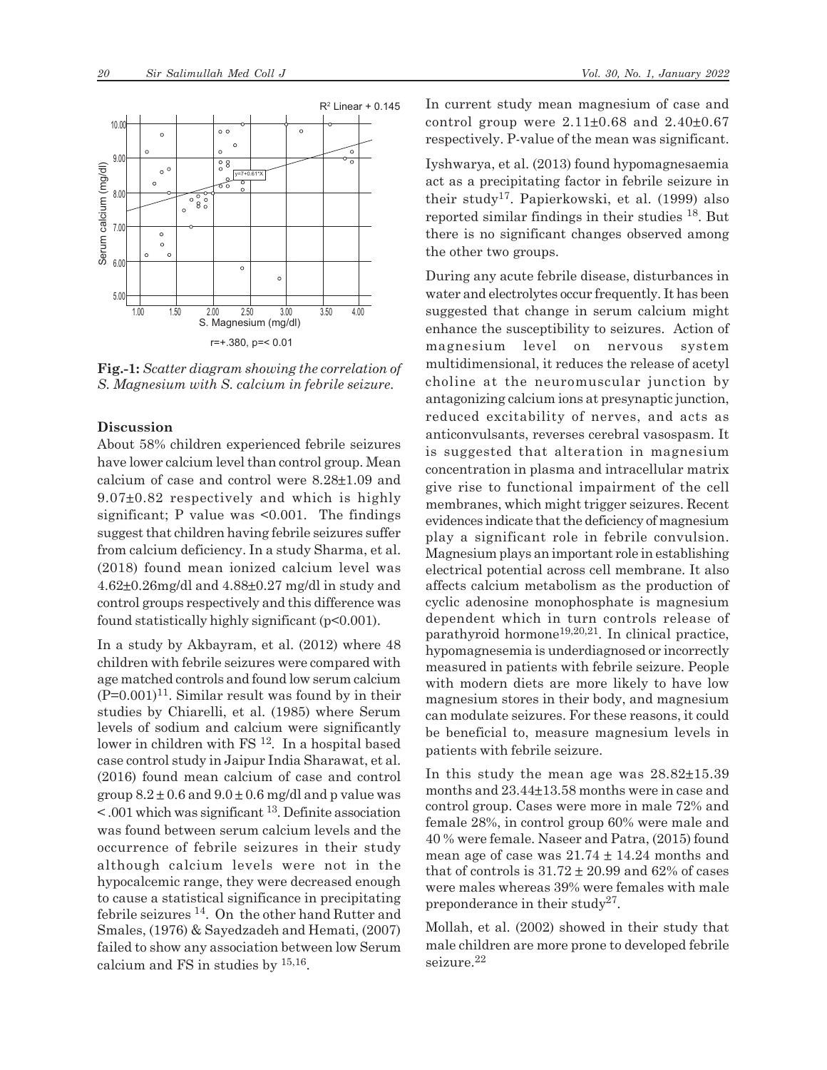

**Fig.-1:** *Scatter diagram showing the correlation of S. Magnesium with S. calcium in febrile seizure.*

#### **Discussion**

About 58% children experienced febrile seizures have lower calcium level than control group. Mean calcium of case and control were 8.28±1.09 and 9.07±0.82 respectively and which is highly significant; P value was  $\leq 0.001$ . The findings suggest that children having febrile seizures suffer from calcium deficiency. In a study Sharma, et al. (2018) found mean ionized calcium level was 4.62±0.26mg/dl and 4.88±0.27 mg/dl in study and control groups respectively and this difference was found statistically highly significant  $(p<0.001)$ .

In a study by Akbayram, et al. (2012) where 48 children with febrile seizures were compared with age matched controls and found low serum calcium  $(P=0.001)^{11}$ . Similar result was found by in their studies by Chiarelli, et al. (1985) where Serum levels of sodium and calcium were significantly lower in children with FS 12. In a hospital based case control study in Jaipur India Sharawat, et al. (2016) found mean calcium of case and control group  $8.2 \pm 0.6$  and  $9.0 \pm 0.6$  mg/dl and p value was  $\leq$  001 which was significant <sup>13</sup>. Definite association was found between serum calcium levels and the occurrence of febrile seizures in their study although calcium levels were not in the hypocalcemic range, they were decreased enough to cause a statistical significance in precipitating febrile seizures 14. On the other hand Rutter and Smales, (1976) & Sayedzadeh and Hemati, (2007) failed to show any association between low Serum calcium and FS in studies by 15,16 .

In current study mean magnesium of case and control group were  $2.11\pm0.68$  and  $2.40\pm0.67$ respectively. P-value of the mean was significant.

Iyshwarya, et al. (2013) found hypomagnesaemia act as a precipitating factor in febrile seizure in their study17. Papierkowski, et al. (1999) also reported similar findings in their studies 18. But there is no significant changes observed among the other two groups.

During any acute febrile disease, disturbances in water and electrolytes occur frequently. It has been suggested that change in serum calcium might enhance the susceptibility to seizures. Action of magnesium level on nervous system multidimensional, it reduces the release of acetyl choline at the neuromuscular junction by antagonizing calcium ions at presynaptic junction, reduced excitability of nerves, and acts as anticonvulsants, reverses cerebral vasospasm. It is suggested that alteration in magnesium concentration in plasma and intracellular matrix give rise to functional impairment of the cell membranes, which might trigger seizures. Recent evidences indicate that the deficiency of magnesium play a significant role in febrile convulsion. Magnesium plays an important role in establishing electrical potential across cell membrane. It also affects calcium metabolism as the production of cyclic adenosine monophosphate is magnesium dependent which in turn controls release of parathyroid hormone<sup>19,20,21</sup>. In clinical practice, hypomagnesemia is underdiagnosed or incorrectly measured in patients with febrile seizure. People with modern diets are more likely to have low magnesium stores in their body, and magnesium can modulate seizures. For these reasons, it could be beneficial to, measure magnesium levels in patients with febrile seizure.

In this study the mean age was 28.82±15.39 months and 23.44±13.58 months were in case and control group. Cases were more in male 72% and female 28%, in control group 60% were male and 40 % were female. Naseer and Patra, (2015) found mean age of case was  $21.74 \pm 14.24$  months and that of controls is  $31.72 \pm 20.99$  and 62% of cases were males whereas 39% were females with male preponderance in their study<sup>27</sup>.

Mollah, et al. (2002) showed in their study that male children are more prone to developed febrile seizure.<sup>22</sup>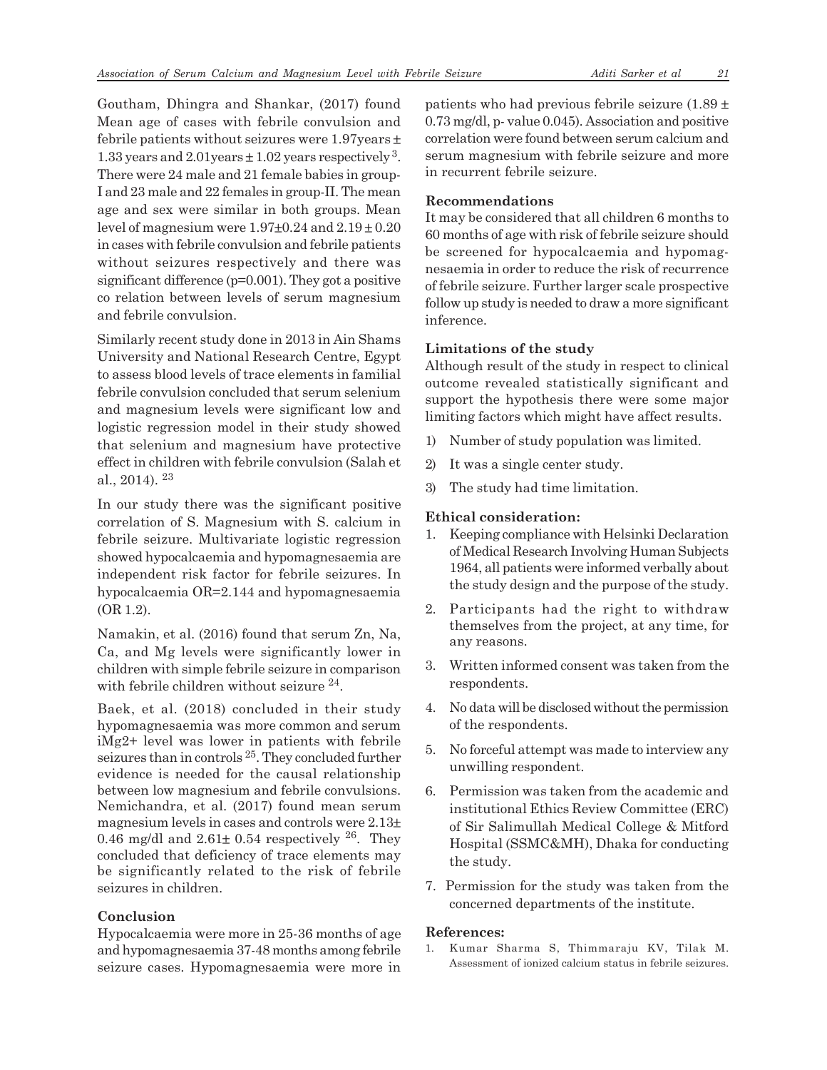Goutham, Dhingra and Shankar, (2017) found Mean age of cases with febrile convulsion and febrile patients without seizures were 1.97years ± 1.33 years and  $2.01$ years  $\pm 1.02$  years respectively<sup>3</sup>. There were 24 male and 21 female babies in group-I and 23 male and 22 females in group-II. The mean age and sex were similar in both groups. Mean level of magnesium were  $1.97\pm0.24$  and  $2.19\pm0.20$ in cases with febrile convulsion and febrile patients without seizures respectively and there was significant difference (p=0.001). They got a positive co relation between levels of serum magnesium and febrile convulsion.

Similarly recent study done in 2013 in Ain Shams University and National Research Centre, Egypt to assess blood levels of trace elements in familial febrile convulsion concluded that serum selenium and magnesium levels were significant low and logistic regression model in their study showed that selenium and magnesium have protective effect in children with febrile convulsion (Salah et al., 2014).  $23$ 

In our study there was the significant positive correlation of S. Magnesium with S. calcium in febrile seizure. Multivariate logistic regression showed hypocalcaemia and hypomagnesaemia are independent risk factor for febrile seizures. In hypocalcaemia OR=2.144 and hypomagnesaemia (OR 1.2).

Namakin, et al. (2016) found that serum Zn, Na, Ca, and Mg levels were significantly lower in children with simple febrile seizure in comparison with febrile children without seizure <sup>24</sup>.

Baek, et al. (2018) concluded in their study hypomagnesaemia was more common and serum iMg2+ level was lower in patients with febrile seizures than in controls 25. They concluded further evidence is needed for the causal relationship between low magnesium and febrile convulsions. Nemichandra, et al. (2017) found mean serum magnesium levels in cases and controls were 2.13± 0.46 mg/dl and  $2.61\pm 0.54$  respectively  $2^6$ . They concluded that deficiency of trace elements may be significantly related to the risk of febrile seizures in children.

# **Conclusion**

Hypocalcaemia were more in 25-36 months of age and hypomagnesaemia 37-48 months among febrile seizure cases. Hypomagnesaemia were more in patients who had previous febrile seizure (1.89 ± 0.73 mg/dl, p- value 0.045). Association and positive correlation were found between serum calcium and serum magnesium with febrile seizure and more in recurrent febrile seizure.

# **Recommendations**

It may be considered that all children 6 months to 60 months of age with risk of febrile seizure should be screened for hypocalcaemia and hypomagnesaemia in order to reduce the risk of recurrence of febrile seizure. Further larger scale prospective follow up study is needed to draw a more significant inference.

# **Limitations of the study**

Although result of the study in respect to clinical outcome revealed statistically significant and support the hypothesis there were some major limiting factors which might have affect results.

- 1) Number of study population was limited.
- 2) It was a single center study.
- 3) The study had time limitation.

# **Ethical consideration:**

- 1. Keeping compliance with Helsinki Declaration of Medical Research Involving Human Subjects 1964, all patients were informed verbally about the study design and the purpose of the study.
- 2. Participants had the right to withdraw themselves from the project, at any time, for any reasons.
- 3. Written informed consent was taken from the respondents.
- 4. No data will be disclosed without the permission of the respondents.
- 5. No forceful attempt was made to interview any unwilling respondent.
- 6. Permission was taken from the academic and institutional Ethics Review Committee (ERC) of Sir Salimullah Medical College & Mitford Hospital (SSMC&MH), Dhaka for conducting the study.
- 7. Permission for the study was taken from the concerned departments of the institute.

# **References:**

1. Kumar Sharma S, Thimmaraju KV, Tilak M. Assessment of ionized calcium status in febrile seizures.